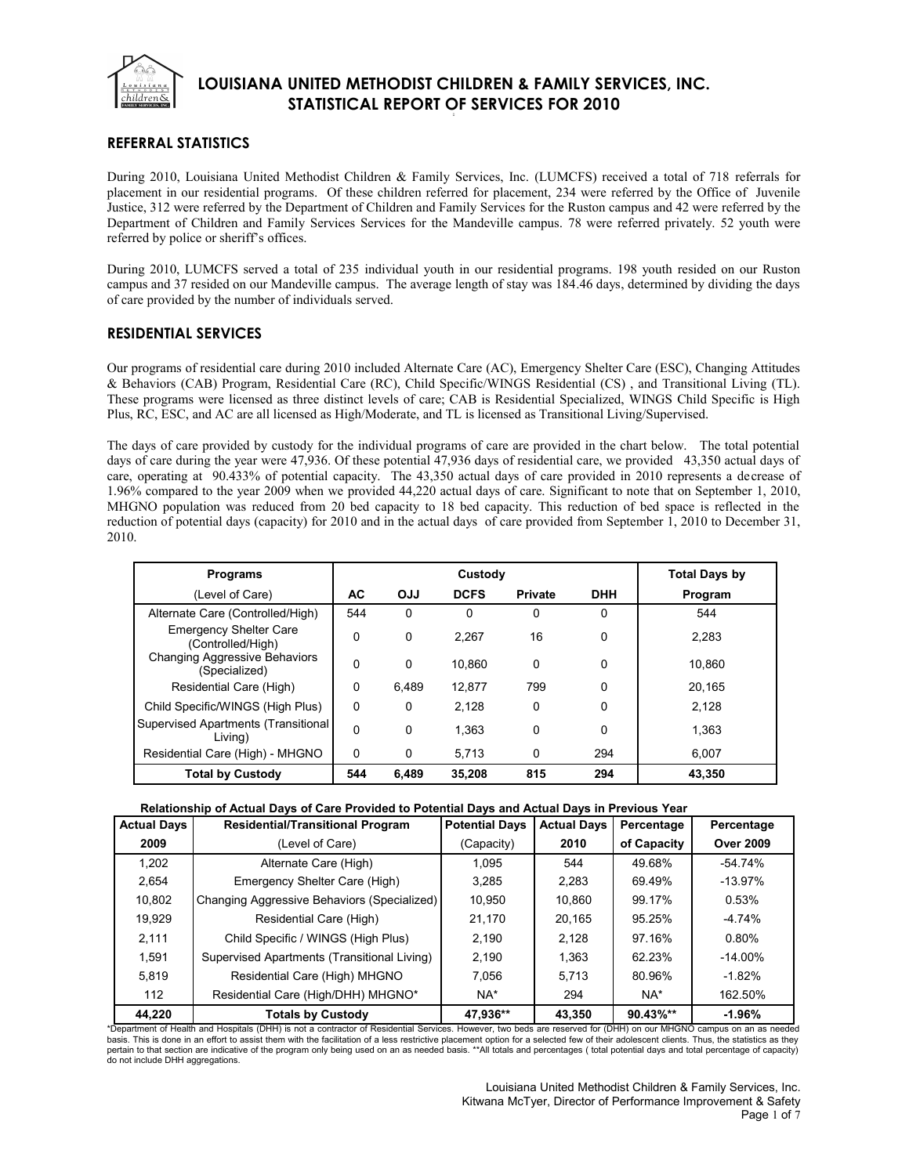

### **REFERRAL STATISTICS**

During 2010, Louisiana United Methodist Children & Family Services, Inc. (LUMCFS) received a total of 718 referrals for placement in our residential programs. Of these children referred for placement, 234 were referred by the Office of Juvenile Justice, 312 were referred by the Department of Children and Family Services for the Ruston campus and 42 were referred by the Department of Children and Family Services Services for the Mandeville campus. 78 were referred privately. 52 youth were referred by police or sheriff's offices.

During 2010, LUMCFS served a total of 235 individual youth in our residential programs. 198 youth resided on our Ruston campus and 37 resided on our Mandeville campus. The average length of stay was 184.46 days, determined by dividing the days of care provided by the number of individuals served.

#### **RESIDENTIAL SERVICES**

Our programs of residential care during 2010 included Alternate Care (AC), Emergency Shelter Care (ESC), Changing Attitudes & Behaviors (CAB) Program, Residential Care (RC), Child Specific/WINGS Residential (CS) , and Transitional Living (TL). These programs were licensed as three distinct levels of care; CAB is Residential Specialized, WINGS Child Specific is High Plus, RC, ESC, and AC are all licensed as High/Moderate, and TL is licensed as Transitional Living/Supervised.

The days of care provided by custody for the individual programs of care are provided in the chart below. The total potential days of care during the year were 47,936. Of these potential 47,936 days of residential care, we provided 43,350 actual days of care, operating at 90.433% of potential capacity. The 43,350 actual days of care provided in 2010 represents a decrease of 1.96% compared to the year 2009 when we provided 44,220 actual days of care. Significant to note that on September 1, 2010, MHGNO population was reduced from 20 bed capacity to 18 bed capacity. This reduction of bed space is reflected in the reduction of potential days (capacity) for 2010 and in the actual days of care provided from September 1, 2010 to December 31, 2010.

| <b>Programs</b>                                    | Custody  |            |             |                |            | <b>Total Days by</b> |
|----------------------------------------------------|----------|------------|-------------|----------------|------------|----------------------|
| (Level of Care)                                    | АC       | <b>OJJ</b> | <b>DCFS</b> | <b>Private</b> | <b>DHH</b> | Program              |
| Alternate Care (Controlled/High)                   | 544      | $\Omega$   | 0           | 0              | 0          | 544                  |
| <b>Emergency Shelter Care</b><br>(Controlled/High) | 0        | 0          | 2.267       | 16             | 0          | 2.283                |
| Changing Aggressive Behaviors<br>(Specialized)     | 0        | $\Omega$   | 10.860      | $\Omega$       | 0          | 10.860               |
| Residential Care (High)                            | 0        | 6.489      | 12.877      | 799            | 0          | 20.165               |
| Child Specific/WINGS (High Plus)                   | 0        | $\Omega$   | 2.128       | 0              | 0          | 2,128                |
| Supervised Apartments (Transitional<br>Living)     | $\Omega$ | $\Omega$   | 1.363       | $\Omega$       | 0          | 1.363                |
| Residential Care (High) - MHGNO                    | 0        | 0          | 5,713       | 0              | 294        | 6.007                |
| <b>Total by Custody</b>                            | 544      | 6.489      | 35,208      | 815            | 294        | 43,350               |

**Relationship of Actual Days of Care Provided to Potential Days and Actual Days in Previous Year**

| <b>Actual Days</b> | <b>Residential/Transitional Program</b>     | <b>Potential Days</b> | <b>Actual Days</b> | Percentage  | Percentage       |
|--------------------|---------------------------------------------|-----------------------|--------------------|-------------|------------------|
| 2009               | (Level of Care)                             | (Capacity)            | 2010               | of Capacity | <b>Over 2009</b> |
| 1.202              | Alternate Care (High)                       | 1.095                 | 544                | 49.68%      | -54.74%          |
| 2,654              | Emergency Shelter Care (High)               | 3.285                 | 2.283              | 69.49%      | $-13.97%$        |
| 10,802             | Changing Aggressive Behaviors (Specialized) | 10.950                | 10.860             | 99.17%      | 0.53%            |
| 19,929             | Residential Care (High)                     | 21.170                | 20.165             | 95.25%      | $-4.74%$         |
| 2,111              | Child Specific / WINGS (High Plus)          | 2.190                 | 2.128              | 97.16%      | 0.80%            |
| 1.591              | Supervised Apartments (Transitional Living) | 2.190                 | 1.363              | 62.23%      | $-14.00\%$       |
| 5,819              | Residential Care (High) MHGNO               | 7.056                 | 5.713              | 80.96%      | $-1.82%$         |
| 112                | Residential Care (High/DHH) MHGNO*          | NA*                   | 294                | NA*         | 162.50%          |
| 44.220             | <b>Totals by Custody</b>                    | 47.936**              | 43.350             | 90.43%**    | $-1.96%$         |

\*Department of Health and Hospitals (DHH) is not a contractor of Residential Services. However, two beds are reserved for (DHH) on our MHGNO campus on an as needed basis. This is done in an effort to assist them with the facilitation of a less restrictive placement option for a selected few of their adolescent clients. Thus, the statistics as they pertain to that section are indicative of the program only being used on an as needed basis. \*\*All totals and percentages ( total potential days and total percentage of capacity) do not include DHH aggregations.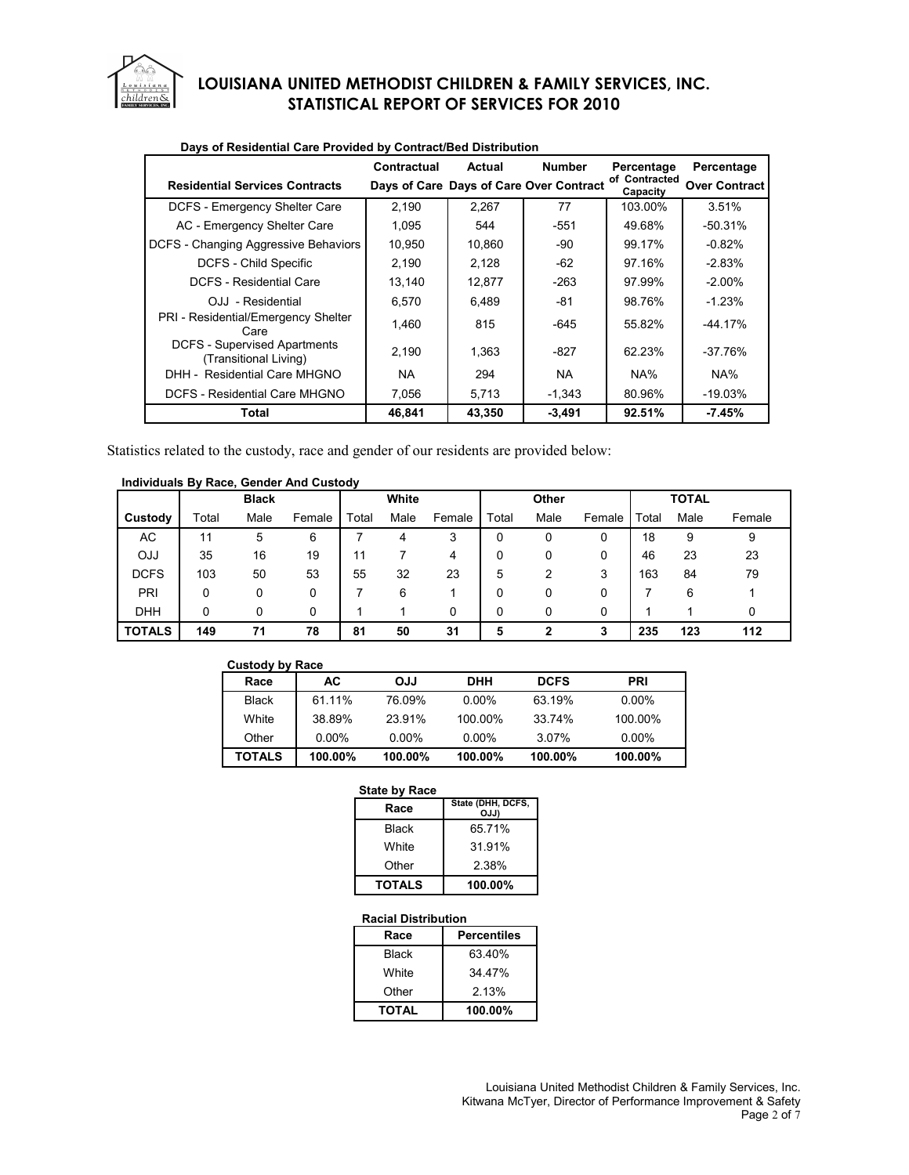

|                                                              | Contractual | Actual | <b>Number</b>                           | Percentage                | Percentage           |
|--------------------------------------------------------------|-------------|--------|-----------------------------------------|---------------------------|----------------------|
| <b>Residential Services Contracts</b>                        |             |        | Days of Care Days of Care Over Contract | of Contracted<br>Capacity | <b>Over Contract</b> |
| DCFS - Emergency Shelter Care                                | 2,190       | 2.267  | 77                                      | 103.00%                   | 3.51%                |
| AC - Emergency Shelter Care                                  | 1.095       | 544    | $-551$                                  | 49.68%                    | $-50.31%$            |
| DCFS - Changing Aggressive Behaviors                         | 10,950      | 10.860 | $-90$                                   | 99.17%                    | $-0.82%$             |
| DCFS - Child Specific                                        | 2,190       | 2.128  | -62                                     | 97.16%                    | $-2.83%$             |
| <b>DCFS - Residential Care</b>                               | 13,140      | 12,877 | $-263$                                  | 97.99%                    | $-2.00\%$            |
| OJJ - Residential                                            | 6.570       | 6,489  | -81                                     | 98.76%                    | $-1.23%$             |
| PRI - Residential/Emergency Shelter<br>Care                  | 1.460       | 815    | -645                                    | 55.82%                    | -44.17%              |
| <b>DCFS - Supervised Apartments</b><br>(Transitional Living) | 2,190       | 1,363  | $-827$                                  | 62.23%                    | $-37.76%$            |
| DHH - Residential Care MHGNO                                 | NA.         | 294    | <b>NA</b>                               | NA%                       | NA%                  |
| DCFS - Residential Care MHGNO                                | 7,056       | 5,713  | $-1,343$                                | 80.96%                    | $-19.03%$            |
| Total                                                        | 46,841      | 43,350 | $-3,491$                                | 92.51%                    | $-7.45%$             |

### **Days of Residential Care Provided by Contract/Bed Distribution**

Statistics related to the custody, race and gender of our residents are provided below:

#### **Individuals By Race, Gender And Custody**

|               |       | <b>Black</b> |        |       | White |        |       | Other |        |       | <b>TOTAL</b> |        |
|---------------|-------|--------------|--------|-------|-------|--------|-------|-------|--------|-------|--------------|--------|
| Custody       | Total | Male         | Female | Total | Male  | Female | Total | Male  | Female | Total | Male         | Female |
| AC            | 11    | 5            | 6      |       |       | 3      | 0     | 0     | 0      | 18    | 9            | 9      |
| <b>OJJ</b>    | 35    | 16           | 19     | 11    |       | 4      | 0     | 0     | 0      | 46    | 23           | 23     |
| <b>DCFS</b>   | 103   | 50           | 53     | 55    | 32    | 23     | 5     | 2     | 3      | 163   | 84           | 79     |
| PRI           | 0     | 0            |        |       | 6     |        | 0     | 0     | 0      |       | 6            |        |
| <b>DHH</b>    | 0     | 0            | O      |       |       | 0      | 0     | 0     | 0      |       |              |        |
| <b>TOTALS</b> | 149   | 71           | 78     | 81    | 50    | 31     | 5     | າ     | 3      | 235   | 123          | 112    |

| <b>Custody by Race</b> |          |            |            |             |            |
|------------------------|----------|------------|------------|-------------|------------|
| Race                   | AC       | <b>ULO</b> | <b>DHH</b> | <b>DCFS</b> | <b>PRI</b> |
| <b>Black</b>           | 61.11%   | 76.09%     | $0.00\%$   | 63.19%      | $0.00\%$   |
| White                  | 38.89%   | 23.91%     | 100.00%    | 33.74%      | 100.00%    |
| Other                  | $0.00\%$ | $0.00\%$   | $0.00\%$   | 3.07%       | $0.00\%$   |
| <b>TOTALS</b>          | 100.00%  | 100.00%    | 100.00%    | 100.00%     | 100.00%    |

#### **State by Race**

| Race          | State (DHH, DCFS,<br>OJJ) |
|---------------|---------------------------|
| Black         | 65.71%                    |
| White         | 31.91%                    |
| Other         | 2.38%                     |
| <b>TOTALS</b> | 100.00%                   |

#### **Racial Distribution**

| Race         | <b>Percentiles</b> |
|--------------|--------------------|
| Black        | 63.40%             |
| White        | 34.47%             |
| Other        | 2.13%              |
| <b>TOTAL</b> | $100.00\%$         |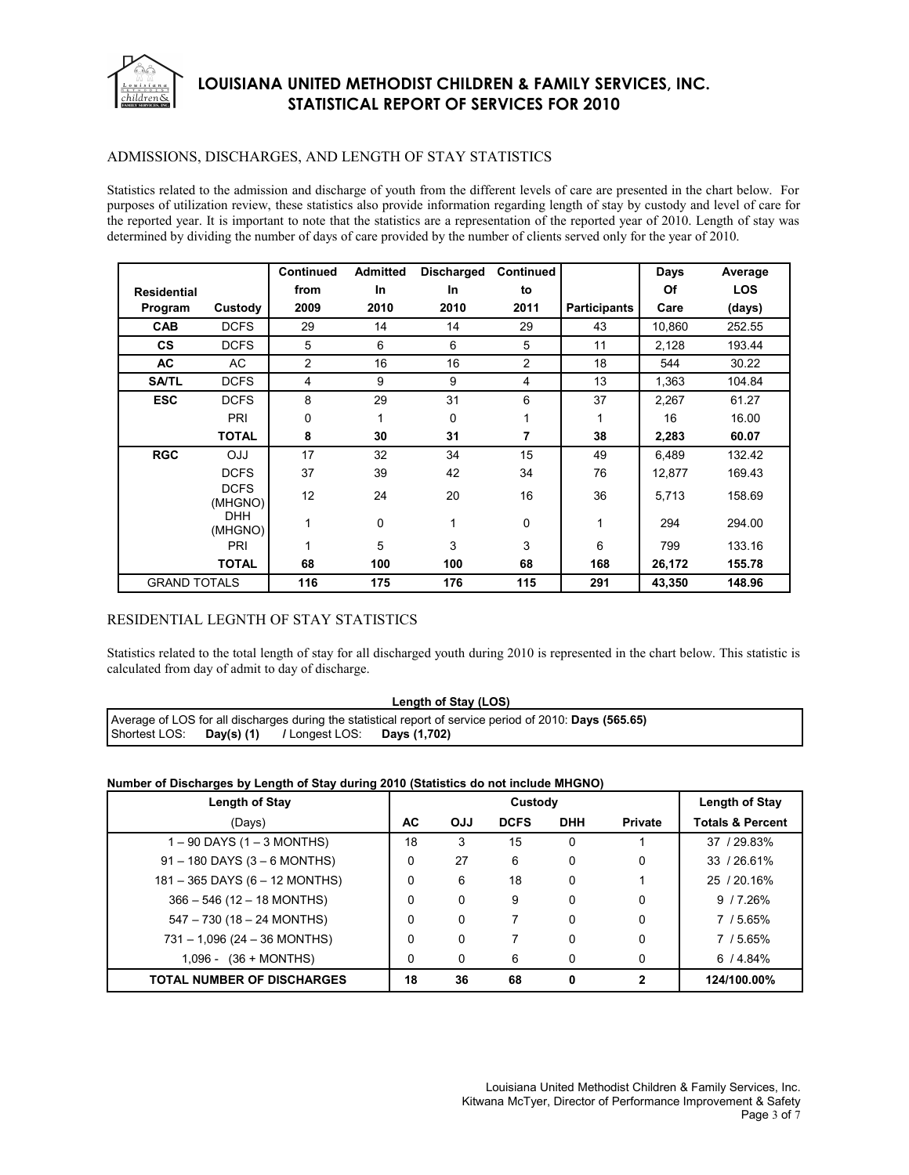

#### ADMISSIONS, DISCHARGES, AND LENGTH OF STAY STATISTICS

Statistics related to the admission and discharge of youth from the different levels of care are presented in the chart below. For purposes of utilization review, these statistics also provide information regarding length of stay by custody and level of care for the reported year. It is important to note that the statistics are a representation of the reported year of 2010. Length of stay was determined by dividing the number of days of care provided by the number of clients served only for the year of 2010.

|                     |                        | Continued      | <b>Admitted</b> | <b>Discharged</b> | <b>Continued</b> |                     | Days   | Average    |
|---------------------|------------------------|----------------|-----------------|-------------------|------------------|---------------------|--------|------------|
| <b>Residential</b>  |                        | from           | <b>In</b>       | In                | to               |                     | Of     | <b>LOS</b> |
| Program             | Custody                | 2009           | 2010            | 2010              | 2011             | <b>Participants</b> | Care   | (days)     |
| <b>CAB</b>          | <b>DCFS</b>            | 29             | 14              | 14                | 29               | 43                  | 10,860 | 252.55     |
| <b>CS</b>           | <b>DCFS</b>            | 5              | 6               | 6                 | 5                | 11                  | 2,128  | 193.44     |
| AC                  | AC                     | $\overline{2}$ | 16              | 16                | $\overline{2}$   | 18                  | 544    | 30.22      |
| <b>SA/TL</b>        | <b>DCFS</b>            | 4              | 9               | 9                 | 4                | 13                  | 1,363  | 104.84     |
| <b>ESC</b>          | <b>DCFS</b>            | 8              | 29              | 31                | 6                | 37                  | 2,267  | 61.27      |
|                     | PRI                    | 0              |                 | 0                 |                  | 1                   | 16     | 16.00      |
|                     | <b>TOTAL</b>           | 8              | 30              | 31                | 7                | 38                  | 2,283  | 60.07      |
| <b>RGC</b>          | <b>OJJ</b>             | 17             | 32              | 34                | 15               | 49                  | 6,489  | 132.42     |
|                     | <b>DCFS</b>            | 37             | 39              | 42                | 34               | 76                  | 12,877 | 169.43     |
|                     | <b>DCFS</b><br>(MHGNO) | 12             | 24              | 20                | 16               | 36                  | 5,713  | 158.69     |
|                     | <b>DHH</b><br>(MHGNO)  | 1              | $\mathbf 0$     |                   | $\Omega$         | 1                   | 294    | 294.00     |
|                     | PRI                    | 1              | 5               | 3                 | 3                | 6                   | 799    | 133.16     |
|                     | <b>TOTAL</b>           | 68             | 100             | 100               | 68               | 168                 | 26,172 | 155.78     |
| <b>GRAND TOTALS</b> |                        | 116            | 175             | 176               | 115              | 291                 | 43,350 | 148.96     |

#### RESIDENTIAL LEGNTH OF STAY STATISTICS

Statistics related to the total length of stay for all discharged youth during 2010 is represented in the chart below. This statistic is calculated from day of admit to day of discharge.

**Length of Stay (LOS)** 

Average of LOS for all discharges during the statistical report of service period of 2010: **Days (565.65)**  Shortest LOS: **Day(s) (1) /** Longest LOS: **Days (1,702)** 

#### **Number of Discharges by Length of Stay during 2010 (Statistics do not include MHGNO)**

| <b>Length of Stay</b>             |          | Custody    |             |            |                | Length of Stay              |
|-----------------------------------|----------|------------|-------------|------------|----------------|-----------------------------|
| (Days)                            | AC       | <b>OJJ</b> | <b>DCFS</b> | <b>DHH</b> | <b>Private</b> | <b>Totals &amp; Percent</b> |
| $1 - 90$ DAYS (1 $-$ 3 MONTHS)    | 18       | 3          | 15          | 0          |                | 37 / 29.83%                 |
| $91 - 180$ DAYS (3 – 6 MONTHS)    | $\Omega$ | 27         | 6           | 0          | 0              | 33 / 26.61%                 |
| 181 - 365 DAYS (6 - 12 MONTHS)    | 0        | 6          | 18          | 0          |                | 25 / 20.16%                 |
| $366 - 546$ (12 - 18 MONTHS)      | $\Omega$ | $\Omega$   | 9           | 0          | 0              | 9/7.26%                     |
| $547 - 730$ (18 - 24 MONTHS)      | $\Omega$ | $\Omega$   |             | 0          | 0              | 7 / 5.65%                   |
| $731 - 1,096$ (24 - 36 MONTHS)    | $\Omega$ | 0          |             | 0          | 0              | 7 / 5.65%                   |
| $1,096 - (36 + MOMTHS)$           | 0        | 0          | 6           | 0          | 0              | 6/4.84%                     |
| <b>TOTAL NUMBER OF DISCHARGES</b> | 18       | 36         | 68          | 0          | 2              | 124/100.00%                 |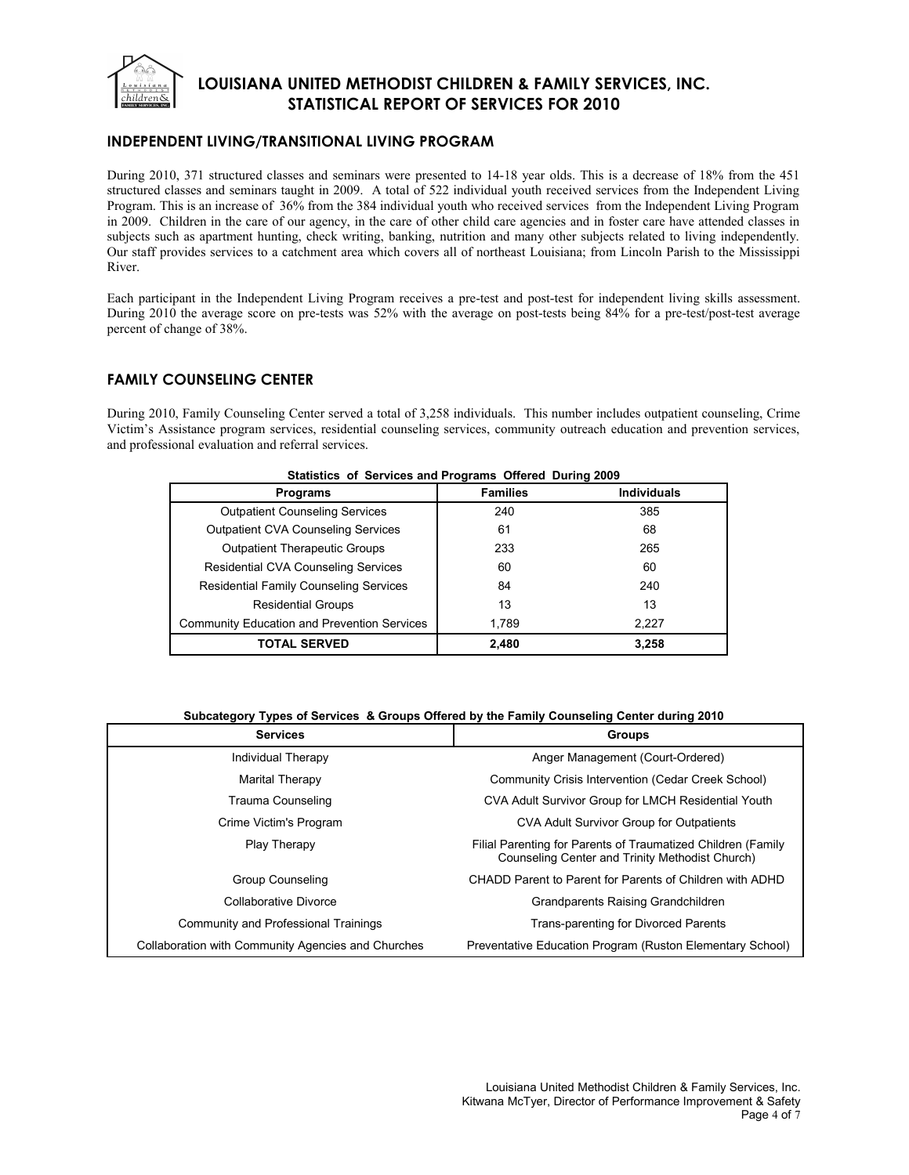

### **INDEPENDENT LIVING/TRANSITIONAL LIVING PROGRAM**

During 2010, 371 structured classes and seminars were presented to 14-18 year olds. This is a decrease of 18% from the 451 structured classes and seminars taught in 2009. A total of 522 individual youth received services from the Independent Living Program. This is an increase of 36% from the 384 individual youth who received services from the Independent Living Program in 2009. Children in the care of our agency, in the care of other child care agencies and in foster care have attended classes in subjects such as apartment hunting, check writing, banking, nutrition and many other subjects related to living independently. Our staff provides services to a catchment area which covers all of northeast Louisiana; from Lincoln Parish to the Mississippi River.

Each participant in the Independent Living Program receives a pre-test and post-test for independent living skills assessment. During 2010 the average score on pre-tests was 52% with the average on post-tests being 84% for a pre-test/post-test average percent of change of 38%.

### **FAMILY COUNSELING CENTER**

During 2010, Family Counseling Center served a total of 3,258 individuals. This number includes outpatient counseling, Crime Victim's Assistance program services, residential counseling services, community outreach education and prevention services, and professional evaluation and referral services.

| <b>Programs</b>                                    | <b>Families</b> | <b>Individuals</b> |
|----------------------------------------------------|-----------------|--------------------|
| <b>Outpatient Counseling Services</b>              | 240             | 385                |
| <b>Outpatient CVA Counseling Services</b>          | 61              | 68                 |
| <b>Outpatient Therapeutic Groups</b>               | 233             | 265                |
| <b>Residential CVA Counseling Services</b>         | 60              | 60                 |
| <b>Residential Family Counseling Services</b>      | 84              | 240                |
| <b>Residential Groups</b>                          | 13              | 13                 |
| <b>Community Education and Prevention Services</b> | 1.789           | 2.227              |
| <b>TOTAL SERVED</b>                                | 2.480           | 3,258              |

#### **Statistics of Services and Programs Offered During 2009**

#### **Subcategory Types of Services & Groups Offered by the Family Counseling Center during 2010**

| <b>Services</b>                                    | <b>Groups</b>                                                                                                   |
|----------------------------------------------------|-----------------------------------------------------------------------------------------------------------------|
| Individual Therapy                                 | Anger Management (Court-Ordered)                                                                                |
| Marital Therapy                                    | Community Crisis Intervention (Cedar Creek School)                                                              |
| Trauma Counseling                                  | CVA Adult Survivor Group for LMCH Residential Youth                                                             |
| Crime Victim's Program                             | CVA Adult Survivor Group for Outpatients                                                                        |
| Play Therapy                                       | Filial Parenting for Parents of Traumatized Children (Family<br>Counseling Center and Trinity Methodist Church) |
| Group Counseling                                   | CHADD Parent to Parent for Parents of Children with ADHD                                                        |
| Collaborative Divorce                              | Grandparents Raising Grandchildren                                                                              |
| Community and Professional Trainings               | Trans-parenting for Divorced Parents                                                                            |
| Collaboration with Community Agencies and Churches | Preventative Education Program (Ruston Elementary School)                                                       |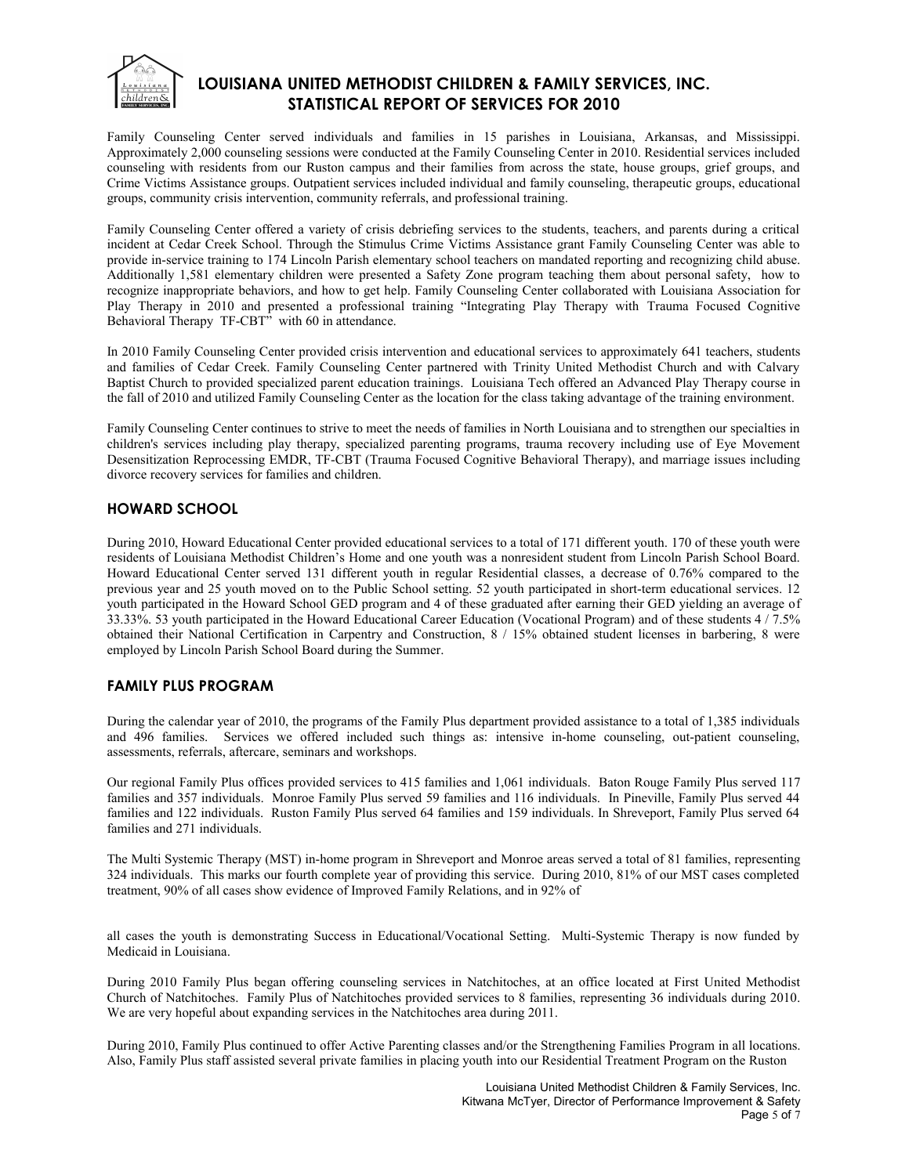

Family Counseling Center served individuals and families in 15 parishes in Louisiana, Arkansas, and Mississippi. Approximately 2,000 counseling sessions were conducted at the Family Counseling Center in 2010. Residential services included counseling with residents from our Ruston campus and their families from across the state, house groups, grief groups, and Crime Victims Assistance groups. Outpatient services included individual and family counseling, therapeutic groups, educational groups, community crisis intervention, community referrals, and professional training.

Family Counseling Center offered a variety of crisis debriefing services to the students, teachers, and parents during a critical incident at Cedar Creek School. Through the Stimulus Crime Victims Assistance grant Family Counseling Center was able to provide in-service training to 174 Lincoln Parish elementary school teachers on mandated reporting and recognizing child abuse. Additionally 1,581 elementary children were presented a Safety Zone program teaching them about personal safety, how to recognize inappropriate behaviors, and how to get help. Family Counseling Center collaborated with Louisiana Association for Play Therapy in 2010 and presented a professional training "Integrating Play Therapy with Trauma Focused Cognitive Behavioral Therapy TF-CBT<sup>"</sup> with 60 in attendance.

In 2010 Family Counseling Center provided crisis intervention and educational services to approximately 641 teachers, students and families of Cedar Creek. Family Counseling Center partnered with Trinity United Methodist Church and with Calvary Baptist Church to provided specialized parent education trainings. Louisiana Tech offered an Advanced Play Therapy course in the fall of 2010 and utilized Family Counseling Center as the location for the class taking advantage of the training environment.

Family Counseling Center continues to strive to meet the needs of families in North Louisiana and to strengthen our specialties in children's services including play therapy, specialized parenting programs, trauma recovery including use of Eye Movement Desensitization Reprocessing EMDR, TF-CBT (Trauma Focused Cognitive Behavioral Therapy), and marriage issues including divorce recovery services for families and children.

### **HOWARD SCHOOL**

During 2010, Howard Educational Center provided educational services to a total of 171 different youth. 170 of these youth were residents of Louisiana Methodist Children's Home and one youth was a nonresident student from Lincoln Parish School Board. Howard Educational Center served 131 different youth in regular Residential classes, a decrease of 0.76% compared to the previous year and 25 youth moved on to the Public School setting. 52 youth participated in short-term educational services. 12 youth participated in the Howard School GED program and 4 of these graduated after earning their GED yielding an average of 33.33%. 53 youth participated in the Howard Educational Career Education (Vocational Program) and of these students 4 / 7.5% obtained their National Certification in Carpentry and Construction, 8 / 15% obtained student licenses in barbering, 8 were employed by Lincoln Parish School Board during the Summer.

### **FAMILY PLUS PROGRAM**

During the calendar year of 2010, the programs of the Family Plus department provided assistance to a total of 1,385 individuals and 496 families. Services we offered included such things as: intensive in-home counseling, out-patient counseling, assessments, referrals, aftercare, seminars and workshops.

Our regional Family Plus offices provided services to 415 families and 1,061 individuals. Baton Rouge Family Plus served 117 families and 357 individuals. Monroe Family Plus served 59 families and 116 individuals. In Pineville, Family Plus served 44 families and 122 individuals. Ruston Family Plus served 64 families and 159 individuals. In Shreveport, Family Plus served 64 families and 271 individuals.

The Multi Systemic Therapy (MST) in-home program in Shreveport and Monroe areas served a total of 81 families, representing 324 individuals. This marks our fourth complete year of providing this service. During 2010, 81% of our MST cases completed treatment, 90% of all cases show evidence of Improved Family Relations, and in 92% of

all cases the youth is demonstrating Success in Educational/Vocational Setting. Multi-Systemic Therapy is now funded by Medicaid in Louisiana.

During 2010 Family Plus began offering counseling services in Natchitoches, at an office located at First United Methodist Church of Natchitoches. Family Plus of Natchitoches provided services to 8 families, representing 36 individuals during 2010. We are very hopeful about expanding services in the Natchitoches area during 2011.

During 2010, Family Plus continued to offer Active Parenting classes and/or the Strengthening Families Program in all locations. Also, Family Plus staff assisted several private families in placing youth into our Residential Treatment Program on the Ruston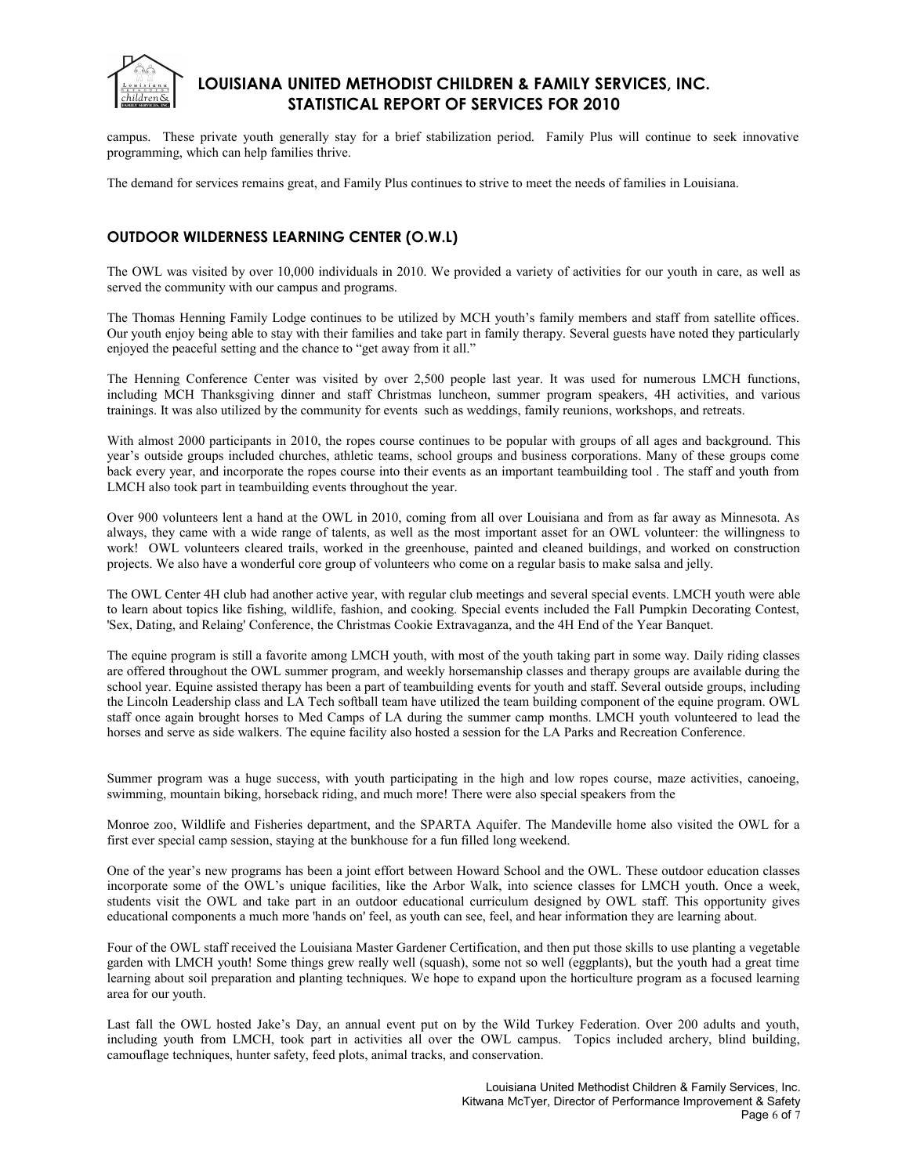

campus. These private youth generally stay for a brief stabilization period. Family Plus will continue to seek innovative programming, which can help families thrive.

The demand for services remains great, and Family Plus continues to strive to meet the needs of families in Louisiana.

### **OUTDOOR WILDERNESS LEARNING CENTER (O.W.L)**

The OWL was visited by over 10,000 individuals in 2010. We provided a variety of activities for our youth in care, as well as served the community with our campus and programs.

The Thomas Henning Family Lodge continues to be utilized by MCH youth's family members and staff from satellite offices. Our youth enjoy being able to stay with their families and take part in family therapy. Several guests have noted they particularly enjoyed the peaceful setting and the chance to "get away from it all."

The Henning Conference Center was visited by over 2,500 people last year. It was used for numerous LMCH functions, including MCH Thanksgiving dinner and staff Christmas luncheon, summer program speakers, 4H activities, and various trainings. It was also utilized by the community for events such as weddings, family reunions, workshops, and retreats.

With almost 2000 participants in 2010, the ropes course continues to be popular with groups of all ages and background. This year's outside groups included churches, athletic teams, school groups and business corporations. Many of these groups come back every year, and incorporate the ropes course into their events as an important teambuilding tool . The staff and youth from LMCH also took part in teambuilding events throughout the year.

Over 900 volunteers lent a hand at the OWL in 2010, coming from all over Louisiana and from as far away as Minnesota. As always, they came with a wide range of talents, as well as the most important asset for an OWL volunteer: the willingness to work! OWL volunteers cleared trails, worked in the greenhouse, painted and cleaned buildings, and worked on construction projects. We also have a wonderful core group of volunteers who come on a regular basis to make salsa and jelly.

The OWL Center 4H club had another active year, with regular club meetings and several special events. LMCH youth were able to learn about topics like fishing, wildlife, fashion, and cooking. Special events included the Fall Pumpkin Decorating Contest, 'Sex, Dating, and Relaing' Conference, the Christmas Cookie Extravaganza, and the 4H End of the Year Banquet.

The equine program is still a favorite among LMCH youth, with most of the youth taking part in some way. Daily riding classes are offered throughout the OWL summer program, and weekly horsemanship classes and therapy groups are available during the school year. Equine assisted therapy has been a part of teambuilding events for youth and staff. Several outside groups, including the Lincoln Leadership class and LA Tech softball team have utilized the team building component of the equine program. OWL staff once again brought horses to Med Camps of LA during the summer camp months. LMCH youth volunteered to lead the horses and serve as side walkers. The equine facility also hosted a session for the LA Parks and Recreation Conference.

Summer program was a huge success, with youth participating in the high and low ropes course, maze activities, canoeing, swimming, mountain biking, horseback riding, and much more! There were also special speakers from the

Monroe zoo, Wildlife and Fisheries department, and the SPARTA Aquifer. The Mandeville home also visited the OWL for a first ever special camp session, staying at the bunkhouse for a fun filled long weekend.

One of the year's new programs has been a joint effort between Howard School and the OWL. These outdoor education classes incorporate some of the OWL's unique facilities, like the Arbor Walk, into science classes for LMCH youth. Once a week, students visit the OWL and take part in an outdoor educational curriculum designed by OWL staff. This opportunity gives educational components a much more 'hands on' feel, as youth can see, feel, and hear information they are learning about.

Four of the OWL staff received the Louisiana Master Gardener Certification, and then put those skills to use planting a vegetable garden with LMCH youth! Some things grew really well (squash), some not so well (eggplants), but the youth had a great time learning about soil preparation and planting techniques. We hope to expand upon the horticulture program as a focused learning area for our youth.

Last fall the OWL hosted Jake's Day, an annual event put on by the Wild Turkey Federation. Over 200 adults and youth, including youth from LMCH, took part in activities all over the OWL campus. Topics included archery, blind building, camouflage techniques, hunter safety, feed plots, animal tracks, and conservation.